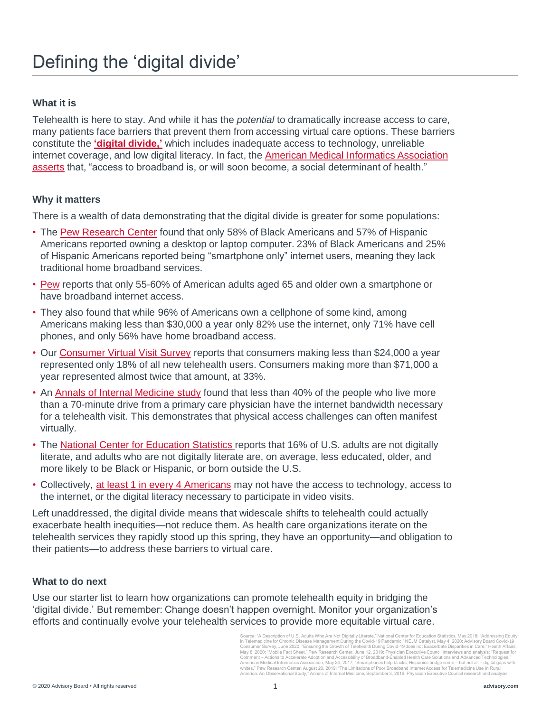## Defining the 'digital divide'

### **What it is**

Telehealth is here to stay. And while it has the *potential* to dramatically increase access to care, many patients face barriers that prevent them from accessing virtual care options. These barriers constitute the **['digital divide,'](https://www.healthaffairs.org/do/10.1377/hblog20200505.591306/full/)** which includes inadequate access to technology, unreliable [internet coverage, and low digital literacy. In fact, the American Medical Informatics Association](https://www.amia.org/sites/default/files/AMIA-Response-to-FCC-Notice-on-Accelerating-Broadband-Health-Tech-Availability.pdf) asserts that, "access to broadband is, or will soon become, a social determinant of health."

#### **Why it matters**

There is a wealth of data demonstrating that the digital divide is greater for some populations:

- The [Pew Research Center](https://www.pewresearch.org/fact-tank/2019/08/20/smartphones-help-blacks-hispanics-bridge-some-but-not-all-digital-gaps-with-whites/) found that only 58% of Black Americans and 57% of Hispanic Americans reported owning a desktop or laptop computer. 23% of Black Americans and 25% of Hispanic Americans reported being "smartphone only" internet users, meaning they lack traditional home broadband services.
- [Pew](https://www.pewresearch.org/internet/fact-sheet/mobile/) reports that only 55-60% of American adults aged 65 and older own a smartphone or have broadband internet access.
- They also found that while 96% of Americans own a cellphone of some kind, among Americans making less than \$30,000 a year only 82% use the internet, only 71% have cell phones, and only 56% have home broadband access.
- Our [Consumer Virtual Visit Survey](https://www.advisory.com/-/media/Advisory-com/Research/MIC/Resources/2020/Covid19_ConsumerPreferences.pdf) reports that consumers making less than \$24,000 a year represented only 18% of all new telehealth users. Consumers making more than \$71,000 a year represented almost twice that amount, at 33%.
- An [Annals of Internal Medicine study](https://www.acpjournals.org/doi/full/10.7326/M19-0283) found that less than 40% of the people who live more than a 70-minute drive from a primary care physician have the internet bandwidth necessary for a telehealth visit. This demonstrates that physical access challenges can often manifest virtually.
- The [National Center for Education Statistics](https://nces.ed.gov/pubs2018/2018161.pdf) reports that 16% of U.S. adults are not digitally literate, and adults who are not digitally literate are, on average, less educated, older, and more likely to be Black or Hispanic, or born outside the U.S.
- Collectively, [at least 1 in every 4 Americans](https://catalyst.nejm.org/doi/full/10.1056/CAT.20.0123) may not have the access to technology, access to the internet, or the digital literacy necessary to participate in video visits.

Left unaddressed, the digital divide means that widescale shifts to telehealth could actually exacerbate health inequities—not reduce them. As health care organizations iterate on the telehealth services they rapidly stood up this spring, they have an opportunity—and obligation to their patients—to address these barriers to virtual care.

#### **What to do next**

Use our starter list to learn how organizations can promote telehealth equity in bridging the 'digital divide.' But remember: Change doesn't happen overnight. Monitor your organization's efforts and continually evolve your telehealth services to provide more equitable virtual care.

> Source: "A Description of U.S. Adults Who Are Not Digitally Literate," National Center for Education Statistics, May 2018; "Addressing Equity in Telemedicine for Chronic Disease Management During the Covid-19 Pandemic," NEJM Catalyst, May 4, 2020; Advisory Board Covid-19<br>Consumer Survey, June 2020; "Ensuring the Growth of Telehealth During Covid-19 does not Exac whites," Pew Research Center, August 20, 2019; "The Limitations of Poor Broadband Internet Access for Telemedicine Use in Rur America: An Observational Study," Annals of Internal Medicine, September 3, 2019; Physician Executive Council research and analysis.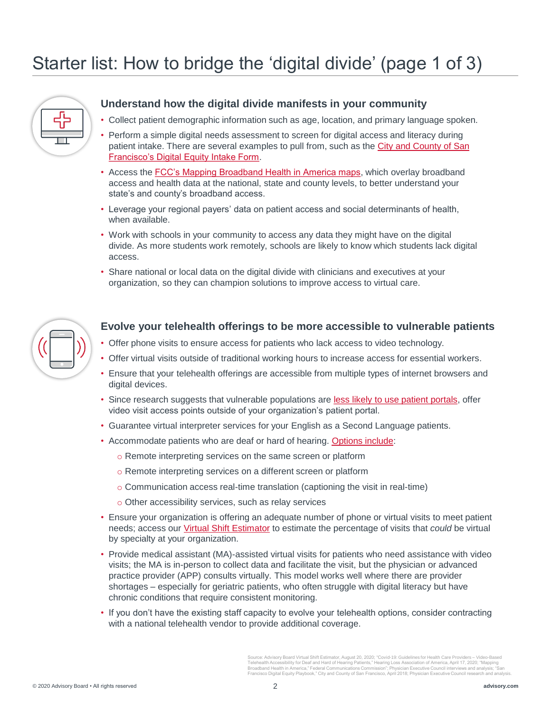# Starter list: How to bridge the 'digital divide' (page 1 of 3)



## **Understand how the digital divide manifests in your community**

- Collect patient demographic information such as age, location, and primary language spoken.
- Perform a simple digital needs assessment to screen for digital access and literacy during [patient intake. There are several examples to pull from, such as the City and County of San](https://docs.google.com/forms/d/e/1FAIpQLScn2jL1kHThziitkft7xcVt01vaUE7BoCGZtc_Z6K2fdA9dMA/viewform)  Francisco's Digital Equity Intake Form.
- Access the [FCC's Mapping Broadband Health in America maps,](https://www.fcc.gov/health/maps) which overlay broadband access and health data at the national, state and county levels, to better understand your state's and county's broadband access.
- Leverage your regional payers' data on patient access and social determinants of health, when available.
- Work with schools in your community to access any data they might have on the digital divide. As more students work remotely, schools are likely to know which students lack digital access.
- Share national or local data on the digital divide with clinicians and executives at your organization, so they can champion solutions to improve access to virtual care.



#### **Evolve your telehealth offerings to be more accessible to vulnerable patients**

- Offer phone visits to ensure access for patients who lack access to video technology.
- Offer virtual visits outside of traditional working hours to increase access for essential workers.
- Ensure that your telehealth offerings are accessible from multiple types of internet browsers and digital devices.
- Since research suggests that vulnerable populations are [less likely to use patient portals,](https://catalyst.nejm.org/doi/full/10.1056/CAT.20.0123) offer video visit access points outside of your organization's patient portal.
- Guarantee virtual interpreter services for your English as a Second Language patients.
- Accommodate patients who are deaf or hard of hearing. [Options include](https://www.hearingloss.org/covid-19-healthcare-providers-guidelines-telehealth-accessibility/):
	- o Remote interpreting services on the same screen or platform
	- o Remote interpreting services on a different screen or platform
	- $\circ$  Communication access real-time translation (captioning the visit in real-time)
	- o Other accessibility services, such as relay services
- Ensure your organization is offering an adequate number of phone or virtual visits to meet patient needs; access our [Virtual Shift Estimator](https://www.advisory.com/research/health-care-it-advisor/tools/2020/virtual-shift-estimator) to estimate the percentage of visits that *could* be virtual by specialty at your organization.
- Provide medical assistant (MA)-assisted virtual visits for patients who need assistance with video visits; the MA is in-person to collect data and facilitate the visit, but the physician or advanced practice provider (APP) consults virtually. This model works well where there are provider shortages – especially for geriatric patients, who often struggle with digital literacy but have chronic conditions that require consistent monitoring.
- If you don't have the existing staff capacity to evolve your telehealth options, consider contracting with a national telehealth vendor to provide additional coverage.

Source: Advisory Board Virtual Shift Estimator, August 20, 2020; "Covid-19: Guidelines for Health Care Providers – Video-Based<br>Telehealth Accessibility for Deaf and Hard of Hearing Patients," Hearing Loss Association of Am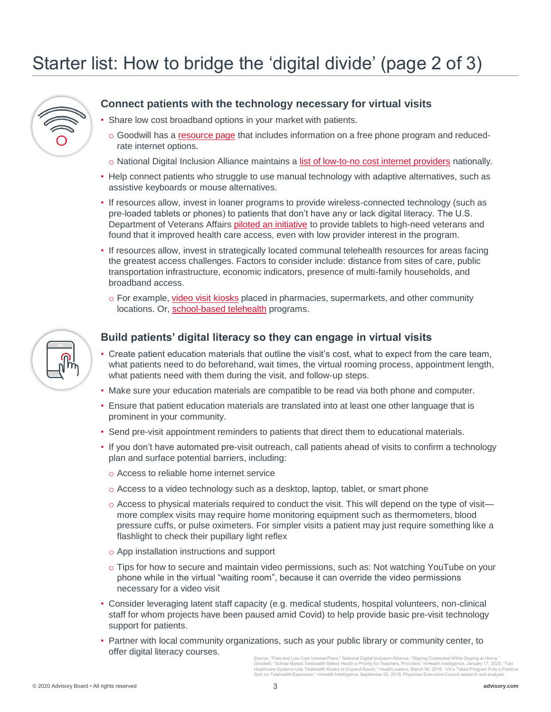# Starter list: How to bridge the 'digital divide' (page 2 of 3)



## **Connect patients with the technology necessary for virtual visits**

- Share low cost broadband options in your market with patients.
	- $\circ$  Goodwill has a [resource page](https://www.goodwill.org/blog/career-and-financial-advice/staying-connected-while-staying-at-home/) that includes information on a free phone program and reducedrate internet options.
	- o National Digital Inclusion Alliance maintains a [list of low-to-no cost internet providers](https://www.digitalinclusion.org/free-low-cost-internet-plans/) nationally.
- Help connect patients who struggle to use manual technology with adaptive alternatives, such as assistive keyboards or mouse alternatives.
- If resources allow, invest in loaner programs to provide wireless-connected technology (such as pre-loaded tablets or phones) to patients that don't have any or lack digital literacy. The U.S. Department of Veterans Affairs [piloted an initiative](https://mhealthintelligence.com/news/vas-tablet-program-puts-a-positive-spin-on-telehealth-expansion) to provide tablets to high-need veterans and found that it improved health care access, even with low provider interest in the program.
- If resources allow, invest in strategically located communal telehealth resources for areas facing the greatest access challenges. Factors to consider include: distance from sites of care, public transportation infrastructure, economic indicators, presence of multi-family households, and broadband access.
	- o For example, [video visit kiosks](https://www.healthleadersmedia.com/innovation/two-healthcare-systems-use-telehealth-kiosks-expand-reach) placed in pharmacies, supermarkets, and other community locations. Or, [school-based telehealth](https://mhealthintelligence.com/features/school-based-telehealth-makes-health-a-priority-for-teachers-providers) programs.



## **Build patients' digital literacy so they can engage in virtual visits**

- Create patient education materials that outline the visit's cost, what to expect from the care team, what patients need to do beforehand, wait times, the virtual rooming process, appointment length, what patients need with them during the visit, and follow-up steps.
- Make sure your education materials are compatible to be read via both phone and computer.
- Ensure that patient education materials are translated into at least one other language that is prominent in your community.
- Send pre-visit appointment reminders to patients that direct them to educational materials.
- If you don't have automated pre-visit outreach, call patients ahead of visits to confirm a technology plan and surface potential barriers, including:
	- o Access to reliable home internet service
	- o Access to a video technology such as a desktop, laptop, tablet, or smart phone
	- o Access to physical materials required to conduct the visit. This will depend on the type of visit more complex visits may require home monitoring equipment such as thermometers, blood pressure cuffs, or pulse oximeters. For simpler visits a patient may just require something like a flashlight to check their pupillary light reflex
	- o App installation instructions and support
	- o Tips for how to secure and maintain video permissions, such as: Not watching YouTube on your phone while in the virtual "waiting room", because it can override the video permissions necessary for a video visit
- Consider leveraging latent staff capacity (e.g. medical students, hospital volunteers, non-clinical staff for whom projects have been paused amid Covid) to help provide basic pre-visit technology support for patients.
- Partner with local community organizations, such as your public library or community center, to offer digital literacy courses.

Source: "Free and Low Cost Internet Plans," National Digital Inclusion Alliance; "Staying Connected While Staying at Home,"<br>Goodwill; "School-Based Telehealth Makes Health a Priority for Teachers, Providers, 'mHealth Intel